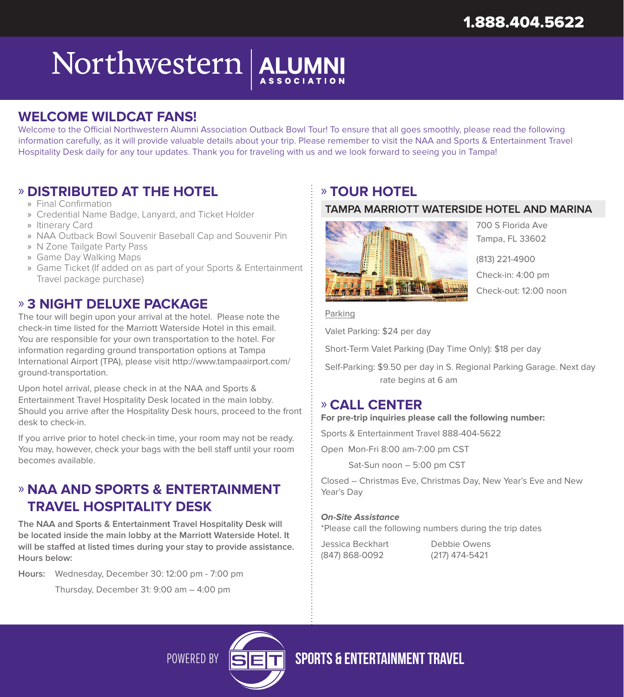## Northwestern ALUMNI

### **WELCOME WILDCAT FANS!**

Welcome to the Official Northwestern Alumni Association Outback Bowl Tour! To ensure that all goes smoothly, please read the following information carefully, as it will provide valuable details about your trip. Please remember to visit the NAA and Sports & Entertainment Travel Hospitality Desk daily for any tour updates. Thank you for traveling with us and we look forward to seeing you in Tampa!

#### » **DISTRIBUTED AT THE HOTEL**

- » Final Confirmation
- » Credential Name Badge, Lanyard, and Ticket Holder
- » Itinerary Card
- » NAA Outback Bowl Souvenir Baseball Cap and Souvenir Pin
- » N Zone Tailgate Party Pass
- » Game Day Walking Maps
- » Game Ticket (If added on as part of your Sports & Entertainment Travel package purchase)

#### » **3 NIGHT DELUXE PACKAGE**

The tour will begin upon your arrival at the hotel. Please note the check-in time listed for the Marriott Waterside Hotel in this email. You are responsible for your own transportation to the hotel. For information regarding ground transportation options at Tampa International Airport (TPA), please visit http://www.tampaairport.com/ ground-transportation.

Upon hotel arrival, please check in at the NAA and Sports & Entertainment Travel Hospitality Desk located in the main lobby. Should you arrive after the Hospitality Desk hours, proceed to the front desk to check-in.

If you arrive prior to hotel check-in time, your room may not be ready. You may, however, check your bags with the bell staff until your room becomes available.

## » **NAA AND SPORTS & ENTERTAINMENT TRAVEL HOSPITALITY DESK**

**The NAA and Sports & Entertainment Travel Hospitality Desk will be located inside the main lobby at the Marriott Waterside Hotel. It will be staffed at listed times during your stay to provide assistance. Hours below:**

**Hours:** Wednesday, December 30: 12:00 pm - 7:00 pm

Thursday, December 31: 9:00 am – 4:00 pm

## » **TOUR HOTEL**

#### **TAMPA MARRIOTT WATERSIDE HOTEL AND MARINA**



700 S Florida Ave Tampa, FL 33602

(813) 221-4900 Check-in: 4:00 pm Check-out: 12:00 noon

#### Parking

Valet Parking: \$24 per day

Short-Term Valet Parking (Day Time Only): \$18 per day

Self-Parking: \$9.50 per day in S. Regional Parking Garage. Next day rate begins at 6 am

#### » **CALL CENTER**

**For pre-trip inquiries please call the following number:** 

Sports & Entertainment Travel 888-404-5622

Open Mon-Fri 8:00 am-7:00 pm CST

Sat-Sun noon – 5:00 pm CST

Closed – Christmas Eve, Christmas Day, New Year's Eve and New Year's Day

#### **On-Site Assistance**

\*Please call the following numbers during the trip dates

| Jessica Beckhart |
|------------------|
| (847) 868-0092   |

Debbie Owens (217) 474-5421

POWERED BY STELLET SPORTS & ENTERTAINMENT TRAVEL